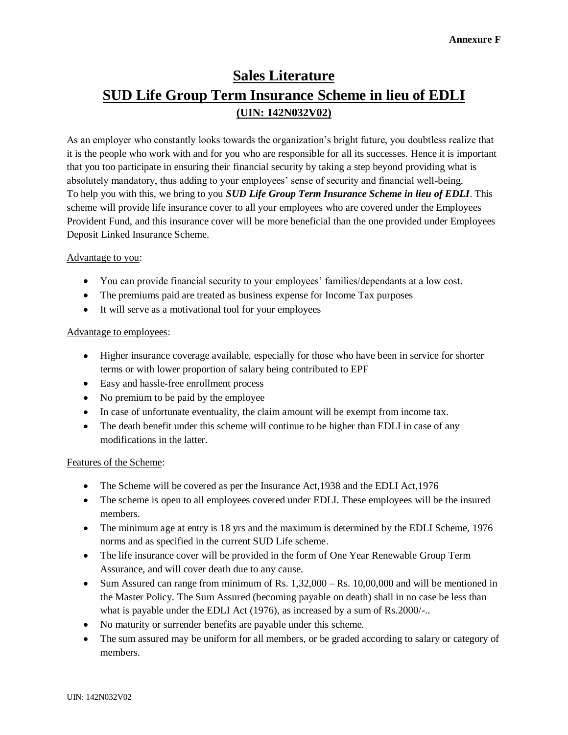# **Sales Literature SUD Life Group Term Insurance Scheme in lieu of EDLI (UIN: 142N032V02)**

As an employer who constantly looks towards the organization's bright future, you doubtless realize that it is the people who work with and for you who are responsible for all its successes. Hence it is important that you too participate in ensuring their financial security by taking a step beyond providing what is absolutely mandatory, thus adding to your employees' sense of security and financial well-being. To help you with this, we bring to you *SUD Life Group Term Insurance Scheme in lieu of EDLI*. This scheme will provide life insurance cover to all your employees who are covered under the Employees Provident Fund, and this insurance cover will be more beneficial than the one provided under Employees Deposit Linked Insurance Scheme.

## Advantage to you:

- You can provide financial security to your employees' families/dependants at a low cost.
- The premiums paid are treated as business expense for Income Tax purposes
- It will serve as a motivational tool for your employees

### Advantage to employees:

- Higher insurance coverage available, especially for those who have been in service for shorter terms or with lower proportion of salary being contributed to EPF
- Easy and hassle-free enrollment process
- No premium to be paid by the employee
- In case of unfortunate eventuality, the claim amount will be exempt from income tax.
- The death benefit under this scheme will continue to be higher than EDLI in case of any modifications in the latter.

### Features of the Scheme:

- The Scheme will be covered as per the Insurance Act, 1938 and the EDLI Act, 1976
- The scheme is open to all employees covered under EDLI. These employees will be the insured members.
- The minimum age at entry is 18 yrs and the maximum is determined by the EDLI Scheme, 1976 norms and as specified in the current SUD Life scheme.
- The life insurance cover will be provided in the form of One Year Renewable Group Term Assurance, and will cover death due to any cause.
- Sum Assured can range from minimum of Rs. 1,32,000 Rs. 10,00,000 and will be mentioned in the Master Policy. The Sum Assured (becoming payable on death) shall in no case be less than what is payable under the EDLI Act (1976), as increased by a sum of Rs.2000/-..
- No maturity or surrender benefits are payable under this scheme.
- The sum assured may be uniform for all members, or be graded according to salary or category of  $\bullet$ members.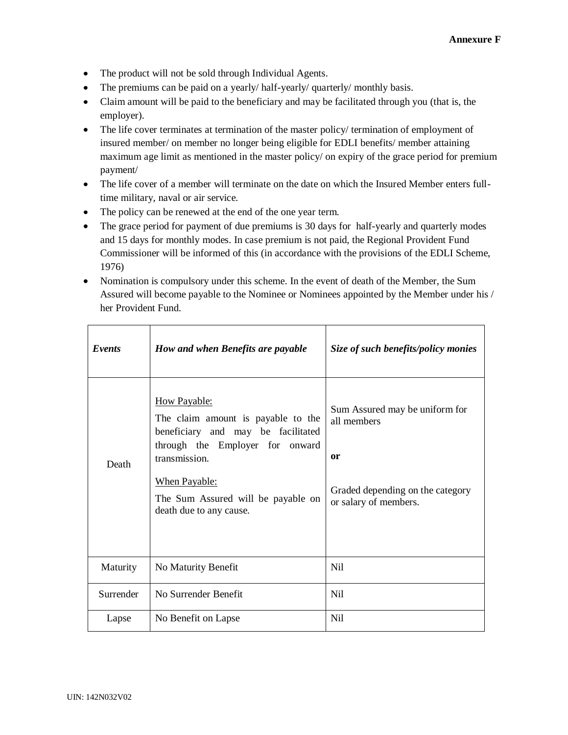- The product will not be sold through Individual Agents.
- The premiums can be paid on a yearly/ half-yearly/ quarterly/ monthly basis.
- Claim amount will be paid to the beneficiary and may be facilitated through you (that is, the employer).
- The life cover terminates at termination of the master policy/ termination of employment of insured member/ on member no longer being eligible for EDLI benefits/ member attaining maximum age limit as mentioned in the master policy/ on expiry of the grace period for premium payment/
- The life cover of a member will terminate on the date on which the Insured Member enters fulltime military, naval or air service.
- The policy can be renewed at the end of the one year term.
- The grace period for payment of due premiums is 30 days for half-yearly and quarterly modes and 15 days for monthly modes. In case premium is not paid, the Regional Provident Fund Commissioner will be informed of this (in accordance with the provisions of the EDLI Scheme, 1976)
- Nomination is compulsory under this scheme. In the event of death of the Member, the Sum Assured will become payable to the Nominee or Nominees appointed by the Member under his / her Provident Fund.

| Events    | How and when Benefits are payable                                                                                                                                                                                                            | Size of such benefits/policy monies                                                                              |
|-----------|----------------------------------------------------------------------------------------------------------------------------------------------------------------------------------------------------------------------------------------------|------------------------------------------------------------------------------------------------------------------|
| Death     | <b>How Payable:</b><br>The claim amount is payable to the<br>beneficiary and may be facilitated<br>through the Employer for onward<br>transmission.<br><b>When Payable:</b><br>The Sum Assured will be payable on<br>death due to any cause. | Sum Assured may be uniform for<br>all members<br>or<br>Graded depending on the category<br>or salary of members. |
| Maturity  | No Maturity Benefit                                                                                                                                                                                                                          | N <sub>il</sub>                                                                                                  |
| Surrender | No Surrender Benefit                                                                                                                                                                                                                         | N <sub>il</sub>                                                                                                  |
| Lapse     | No Benefit on Lapse                                                                                                                                                                                                                          | <b>Nil</b>                                                                                                       |